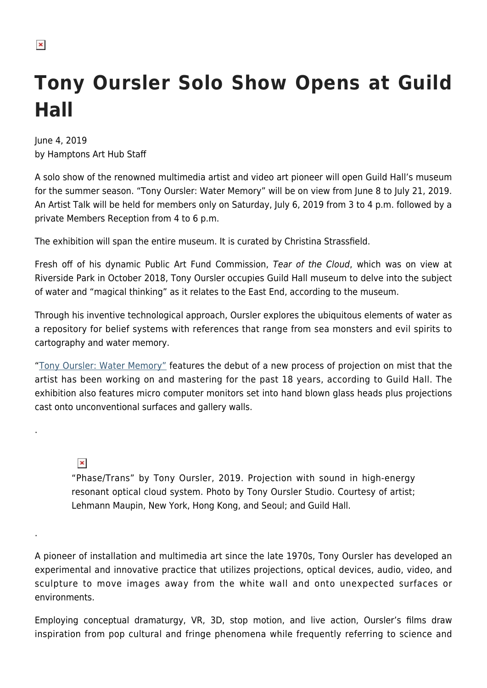$\pmb{\times}$ 

## **Tony Oursler Solo Show Opens at Guild Hall**

June 4, 2019 by Hamptons Art Hub Staff

A solo show of the renowned multimedia artist and video art pioneer will open Guild Hall's museum for the summer season. "Tony Oursler: Water Memory" will be on view from June 8 to July 21, 2019. An Artist Talk will be held for members only on Saturday, July 6, 2019 from 3 to 4 p.m. followed by a private Members Reception from 4 to 6 p.m.

The exhibition will span the entire museum. It is curated by Christina Strassfield.

Fresh off of his dynamic Public Art Fund Commission, Tear of the Cloud, which was on view at Riverside Park in October 2018, Tony Oursler occupies Guild Hall museum to delve into the subject of water and "magical thinking" as it relates to the East End, according to the museum.

Through his inventive technological approach, Oursler explores the ubiquitous elements of water as a repository for belief systems with references that range from sea monsters and evil spirits to cartography and water memory.

"[Tony Oursler: Water Memory"](https://www.guildhall.org/events/tony-oursler/2019-06-08/) features the debut of a new process of projection on mist that the artist has been working on and mastering for the past 18 years, according to Guild Hall. The exhibition also features micro computer monitors set into hand blown glass heads plus projections cast onto unconventional surfaces and gallery walls.

 $\pmb{\times}$ 

.

.

"Phase/Trans" by Tony Oursler, 2019. Projection with sound in high-energy resonant optical cloud system. Photo by Tony Oursler Studio. Courtesy of artist; Lehmann Maupin, New York, Hong Kong, and Seoul; and Guild Hall.

A pioneer of installation and multimedia art since the late 1970s, Tony Oursler has developed an experimental and innovative practice that utilizes projections, optical devices, audio, video, and sculpture to move images away from the white wall and onto unexpected surfaces or environments.

Employing conceptual dramaturgy, VR, 3D, stop motion, and live action, Oursler's films draw inspiration from pop cultural and fringe phenomena while frequently referring to science and